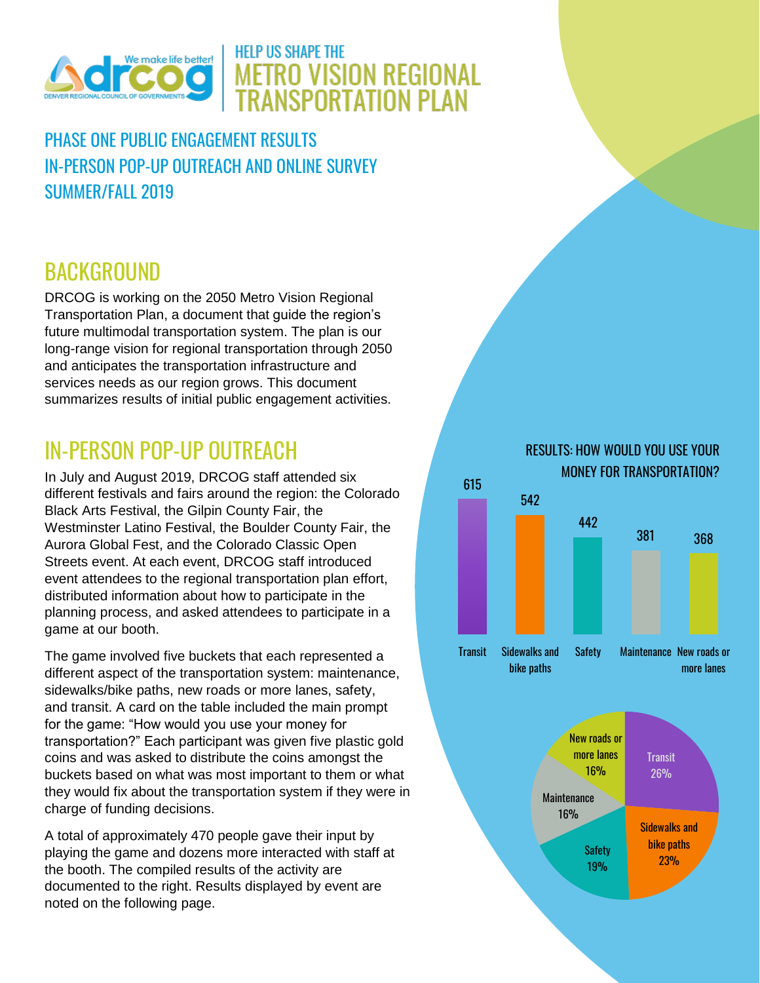

## **HELP US SHAPE THE METRO VISION REGIONAL TRANSPORTATION PLAN**

PHASE ONE PUBLIC ENGAGEMENT RESULTS IN-PERSON POP-UP OUTREACH AND ONLINE SURVEY SUMMER/FALL 2019

# **BACKGROUND**

DRCOG is working on the 2050 Metro Vision Regional Transportation Plan, a document that guide the region's future multimodal transportation system. The plan is our long-range vision for regional transportation through 2050 and anticipates the transportation infrastructure and services needs as our region grows. This document summarizes results of initial public engagement activities.

# IN-PERSON POP-UP OUTREACH

In July and August 2019, DRCOG staff attended six different festivals and fairs around the region: the Colorado Black Arts Festival, the Gilpin County Fair, the Westminster Latino Festival, the Boulder County Fair, the Aurora Global Fest, and the Colorado Classic Open Streets event. At each event, DRCOG staff introduced event attendees to the regional transportation plan effort, distributed information about how to participate in the planning process, and asked attendees to participate in a game at our booth.

The game involved five buckets that each represented a different aspect of the transportation system: maintenance, sidewalks/bike paths, new roads or more lanes, safety, and transit. A card on the table included the main prompt for the game: "How would you use your money for transportation?" Each participant was given five plastic gold coins and was asked to distribute the coins amongst the buckets based on what was most important to them or what they would fix about the transportation system if they were in charge of funding decisions.

A total of approximately 470 people gave their input by playing the game and dozens more interacted with staff at the booth. The compiled results of the activity are documented to the right. Results displayed by event are noted on the following page.

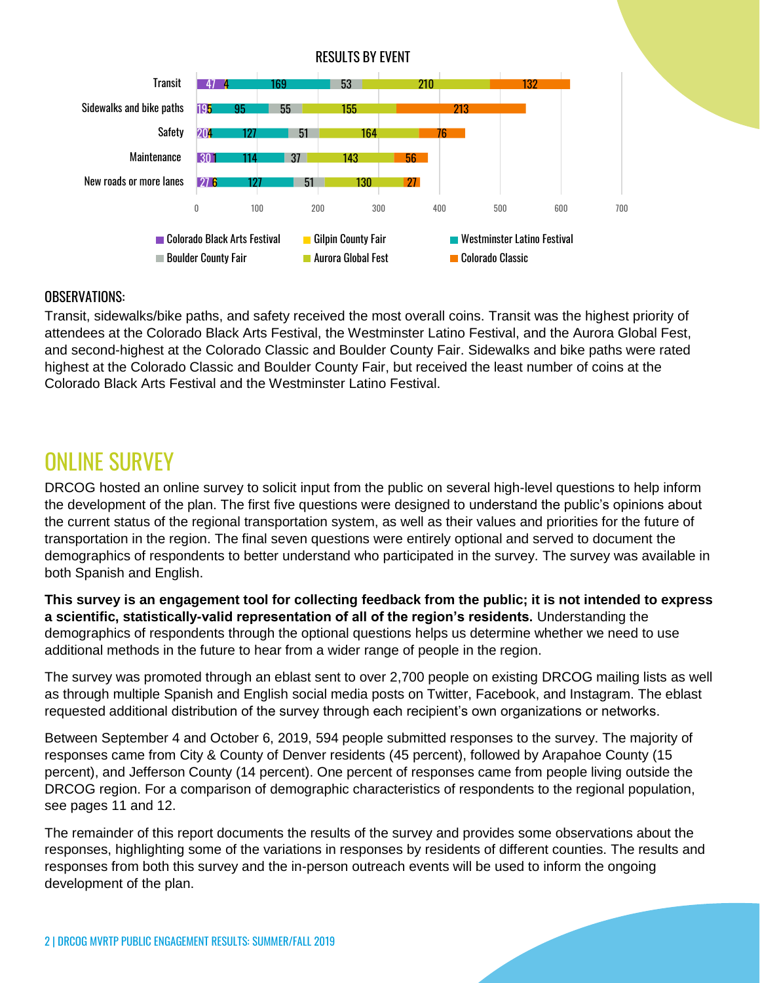

#### OBSERVATIONS:

Transit, sidewalks/bike paths, and safety received the most overall coins. Transit was the highest priority of attendees at the Colorado Black Arts Festival, the Westminster Latino Festival, and the Aurora Global Fest, and second-highest at the Colorado Classic and Boulder County Fair. Sidewalks and bike paths were rated highest at the Colorado Classic and Boulder County Fair, but received the least number of coins at the Colorado Black Arts Festival and the Westminster Latino Festival.

## ONI INF SURVFY

DRCOG hosted an online survey to solicit input from the public on several high-level questions to help inform the development of the plan. The first five questions were designed to understand the public's opinions about the current status of the regional transportation system, as well as their values and priorities for the future of transportation in the region. The final seven questions were entirely optional and served to document the demographics of respondents to better understand who participated in the survey. The survey was available in both Spanish and English.

**This survey is an engagement tool for collecting feedback from the public; it is not intended to express a scientific, statistically-valid representation of all of the region's residents.** Understanding the demographics of respondents through the optional questions helps us determine whether we need to use additional methods in the future to hear from a wider range of people in the region.

The survey was promoted through an eblast sent to over 2,700 people on existing DRCOG mailing lists as well as through multiple Spanish and English social media posts on Twitter, Facebook, and Instagram. The eblast requested additional distribution of the survey through each recipient's own organizations or networks.

Between September 4 and October 6, 2019, 594 people submitted responses to the survey. The majority of responses came from City & County of Denver residents (45 percent), followed by Arapahoe County (15 percent), and Jefferson County (14 percent). One percent of responses came from people living outside the DRCOG region. For a comparison of demographic characteristics of respondents to the regional population, see pages 11 and 12.

The remainder of this report documents the results of the survey and provides some observations about the responses, highlighting some of the variations in responses by residents of different counties. The results and responses from both this survey and the in-person outreach events will be used to inform the ongoing development of the plan.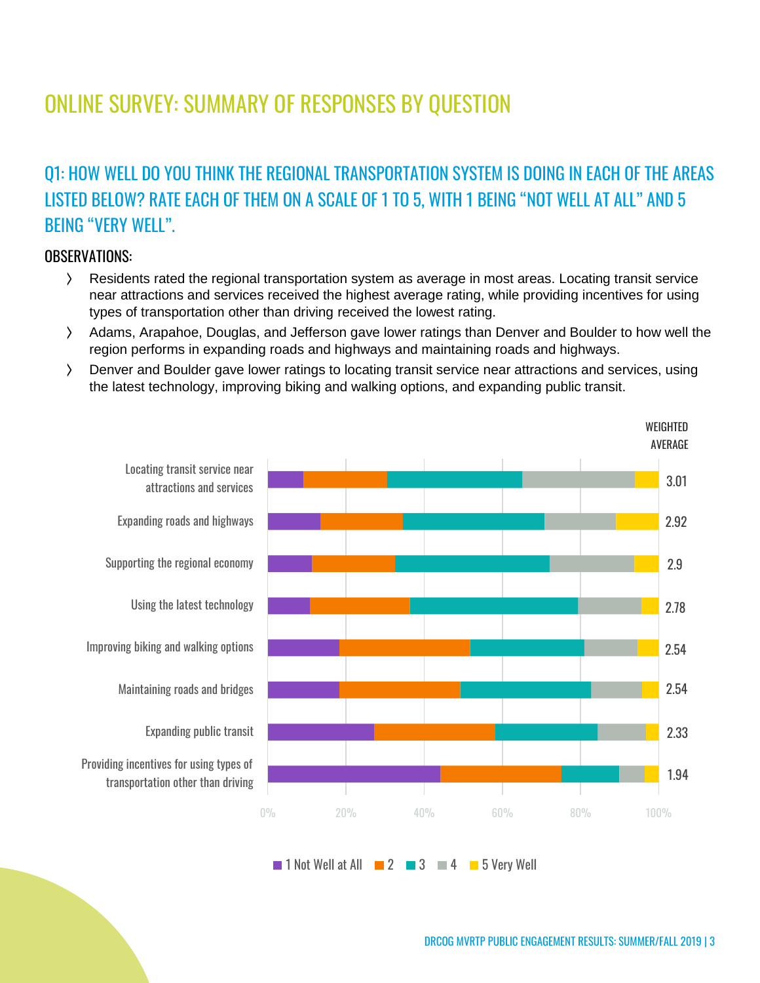# ONLINE SURVEY: SUMMARY OF RESPONSES BY QUESTION

## Q1: HOW WELL DO YOU THINK THE REGIONAL TRANSPORTATION SYSTEM IS DOING IN EACH OF THE AREAS LISTED BELOW? RATE EACH OF THEM ON A SCALE OF 1 TO 5, WITH 1 BEING "NOT WELL AT ALL" AND 5 BEING "VERY WELL".

#### OBSERVATIONS:

- ⟩ Residents rated the regional transportation system as average in most areas. Locating transit service near attractions and services received the highest average rating, while providing incentives for using types of transportation other than driving received the lowest rating.
- ⟩ Adams, Arapahoe, Douglas, and Jefferson gave lower ratings than Denver and Boulder to how well the region performs in expanding roads and highways and maintaining roads and highways.
- ⟩ Denver and Boulder gave lower ratings to locating transit service near attractions and services, using the latest technology, improving biking and walking options, and expanding public transit.



 $\blacksquare$  1 Not Well at All  $\blacksquare$  2  $\blacksquare$  3  $\blacksquare$  4  $\blacksquare$  5 Very Well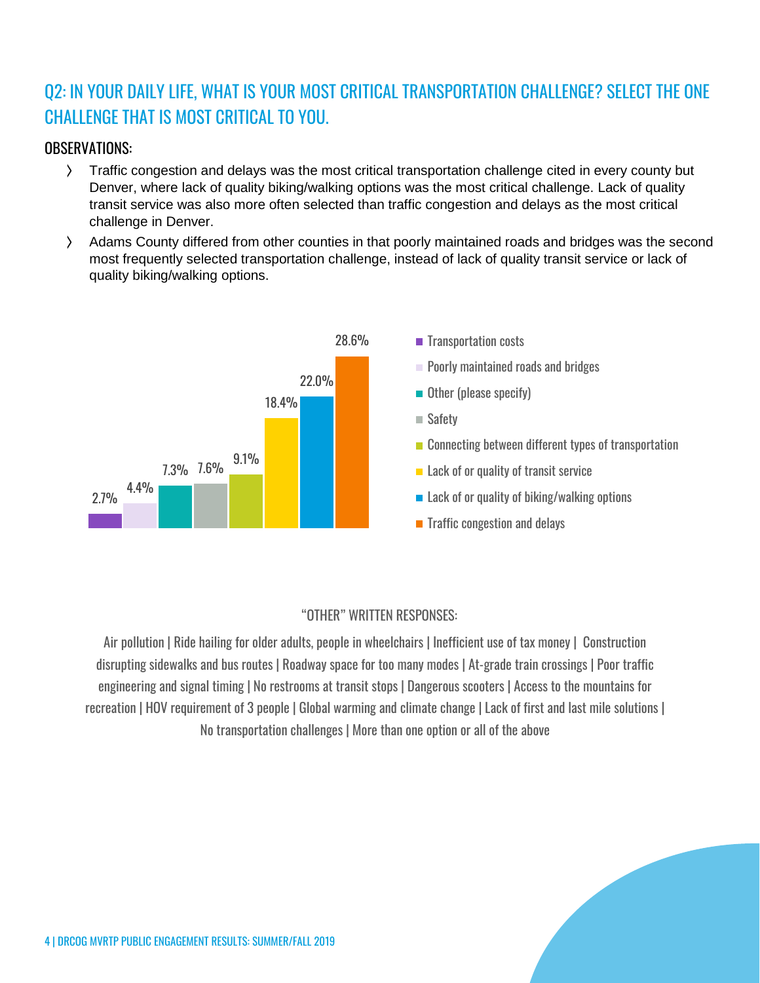## Q2: IN YOUR DAILY LIFE, WHAT IS YOUR MOST CRITICAL TRANSPORTATION CHALLENGE? SELECT THE ONE CHALLENGE THAT IS MOST CRITICAL TO YOU.

#### OBSERVATIONS:

- ⟩ Traffic congestion and delays was the most critical transportation challenge cited in every county but Denver, where lack of quality biking/walking options was the most critical challenge. Lack of quality transit service was also more often selected than traffic congestion and delays as the most critical challenge in Denver.
- ⟩ Adams County differed from other counties in that poorly maintained roads and bridges was the second most frequently selected transportation challenge, instead of lack of quality transit service or lack of quality biking/walking options.



#### "OTHER" WRITTEN RESPONSES:

Air pollution | Ride hailing for older adults, people in wheelchairs | Inefficient use of tax money | Construction disrupting sidewalks and bus routes | Roadway space for too many modes | At-grade train crossings | Poor traffic engineering and signal timing | No restrooms at transit stops | Dangerous scooters | Access to the mountains for recreation | HOV requirement of 3 people | Global warming and climate change | Lack of first and last mile solutions | No transportation challenges | More than one option or all of the above

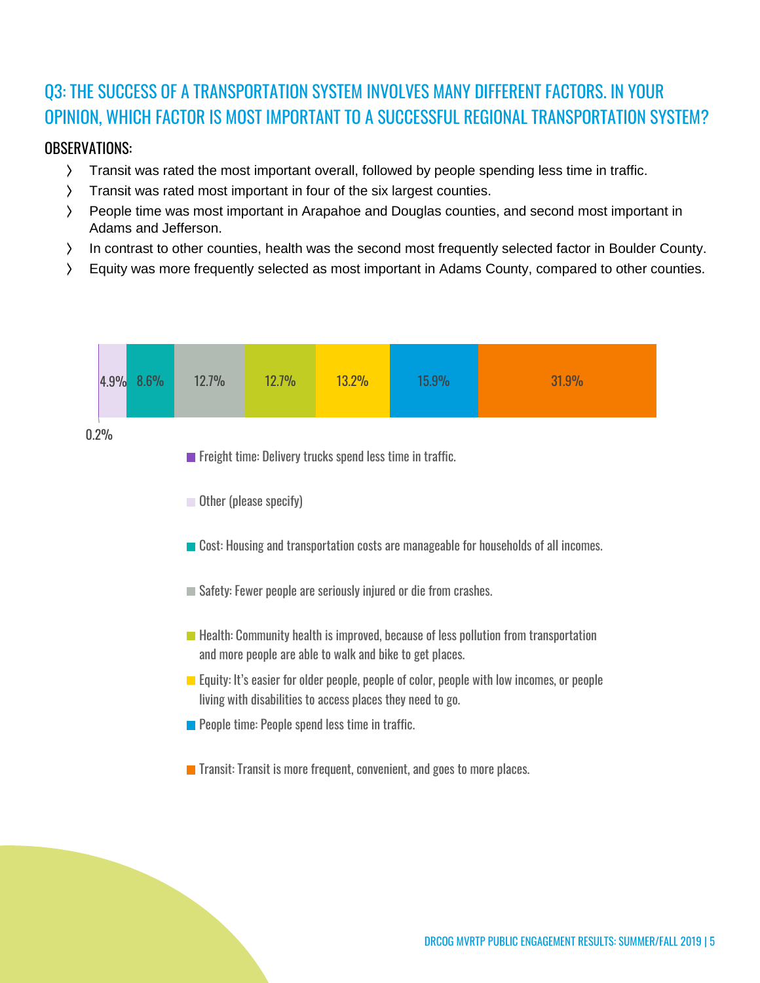## Q3: THE SUCCESS OF A TRANSPORTATION SYSTEM INVOLVES MANY DIFFERENT FACTORS. IN YOUR OPINION, WHICH FACTOR IS MOST IMPORTANT TO A SUCCESSFUL REGIONAL TRANSPORTATION SYSTEM?

#### OBSERVATIONS:

- ⟩ Transit was rated the most important overall, followed by people spending less time in traffic.
- ⟩ Transit was rated most important in four of the six largest counties.
- ⟩ People time was most important in Arapahoe and Douglas counties, and second most important in Adams and Jefferson.
- ⟩ In contrast to other counties, health was the second most frequently selected factor in Boulder County.
- ⟩ Equity was more frequently selected as most important in Adams County, compared to other counties.

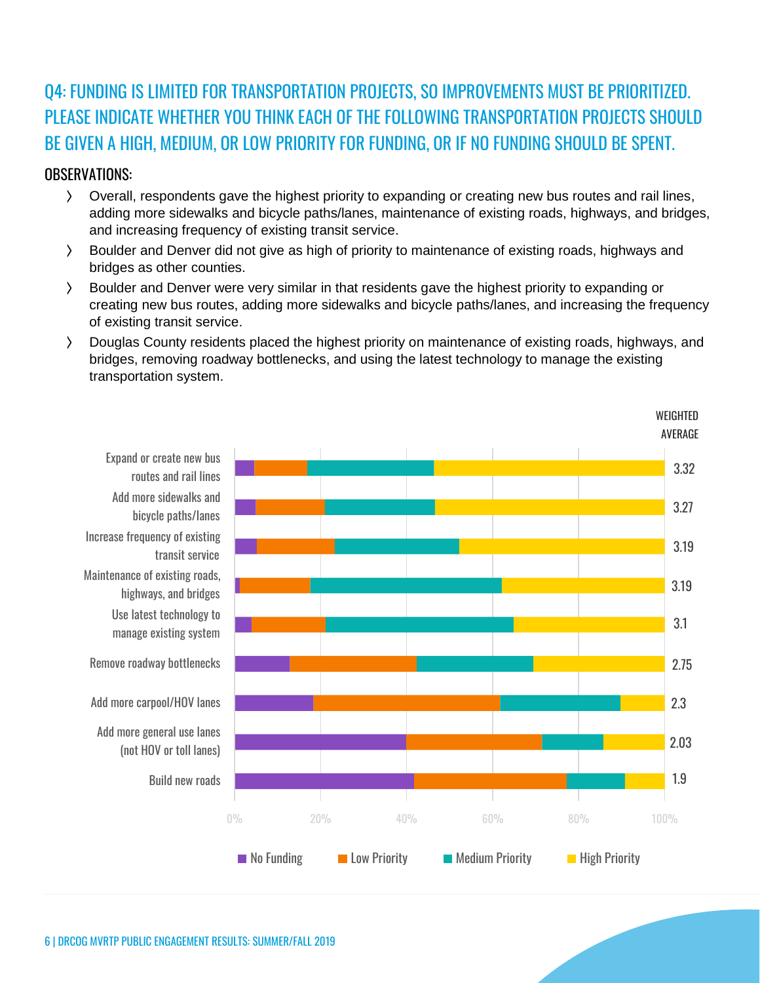### Q4: FUNDING IS LIMITED FOR TRANSPORTATION PROJECTS, SO IMPROVEMENTS MUST BE PRIORITIZED. PLEASE INDICATE WHETHER YOU THINK EACH OF THE FOLLOWING TRANSPORTATION PROJECTS SHOULD BE GIVEN A HIGH, MEDIUM, OR LOW PRIORITY FOR FUNDING, OR IF NO FUNDING SHOULD BE SPENT.

#### OBSERVATIONS:

- ⟩ Overall, respondents gave the highest priority to expanding or creating new bus routes and rail lines, adding more sidewalks and bicycle paths/lanes, maintenance of existing roads, highways, and bridges, and increasing frequency of existing transit service.
- ⟩ Boulder and Denver did not give as high of priority to maintenance of existing roads, highways and bridges as other counties.
- ⟩ Boulder and Denver were very similar in that residents gave the highest priority to expanding or creating new bus routes, adding more sidewalks and bicycle paths/lanes, and increasing the frequency of existing transit service.
- ⟩ Douglas County residents placed the highest priority on maintenance of existing roads, highways, and bridges, removing roadway bottlenecks, and using the latest technology to manage the existing transportation system.

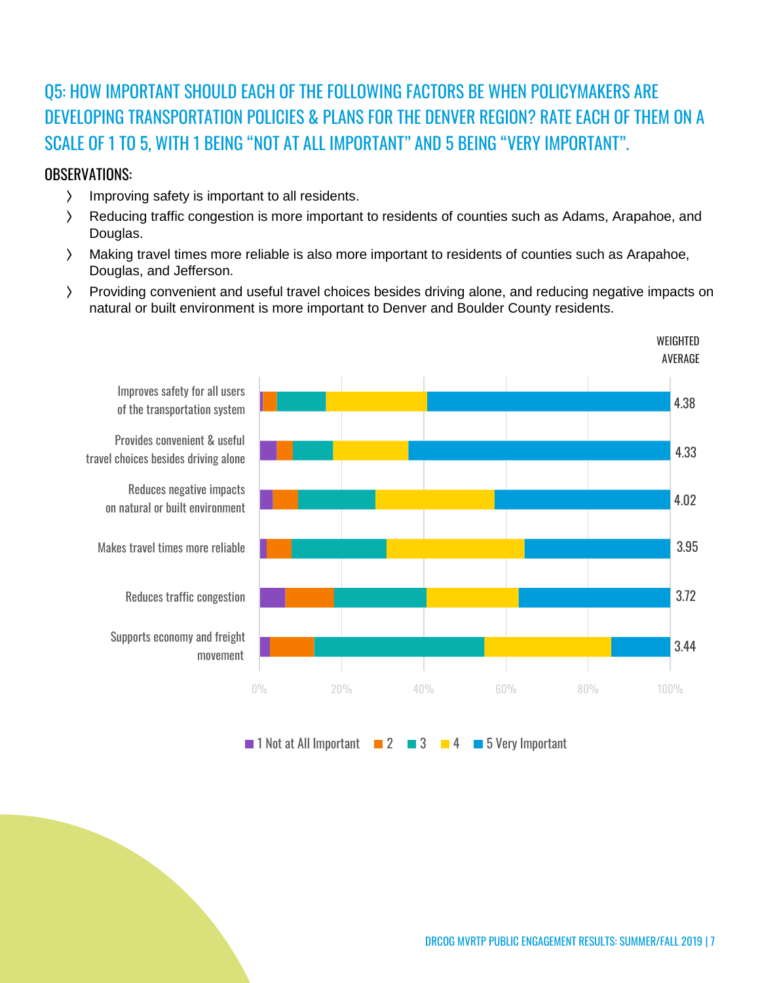## Q5: HOW IMPORTANT SHOULD EACH OF THE FOLLOWING FACTORS BE WHEN POLICYMAKERS ARE DEVELOPING TRANSPORTATION POLICIES & PLANS FOR THE DENVER REGION? RATE EACH OF THEM ON A SCALE OF 1 TO 5, WITH 1 BEING "NOT AT ALL IMPORTANT" AND 5 BEING "VERY IMPORTANT".

#### OBSERVATIONS:

- ⟩ Improving safety is important to all residents.
- ⟩ Reducing traffic congestion is more important to residents of counties such as Adams, Arapahoe, and Douglas.
- ⟩ Making travel times more reliable is also more important to residents of counties such as Arapahoe, Douglas, and Jefferson.
- ⟩ Providing convenient and useful travel choices besides driving alone, and reducing negative impacts on natural or built environment is more important to Denver and Boulder County residents.



 $\blacksquare$  1 Not at All Important  $\blacksquare$  2  $\blacksquare$  3  $\blacksquare$  4  $\blacksquare$  5 Very Important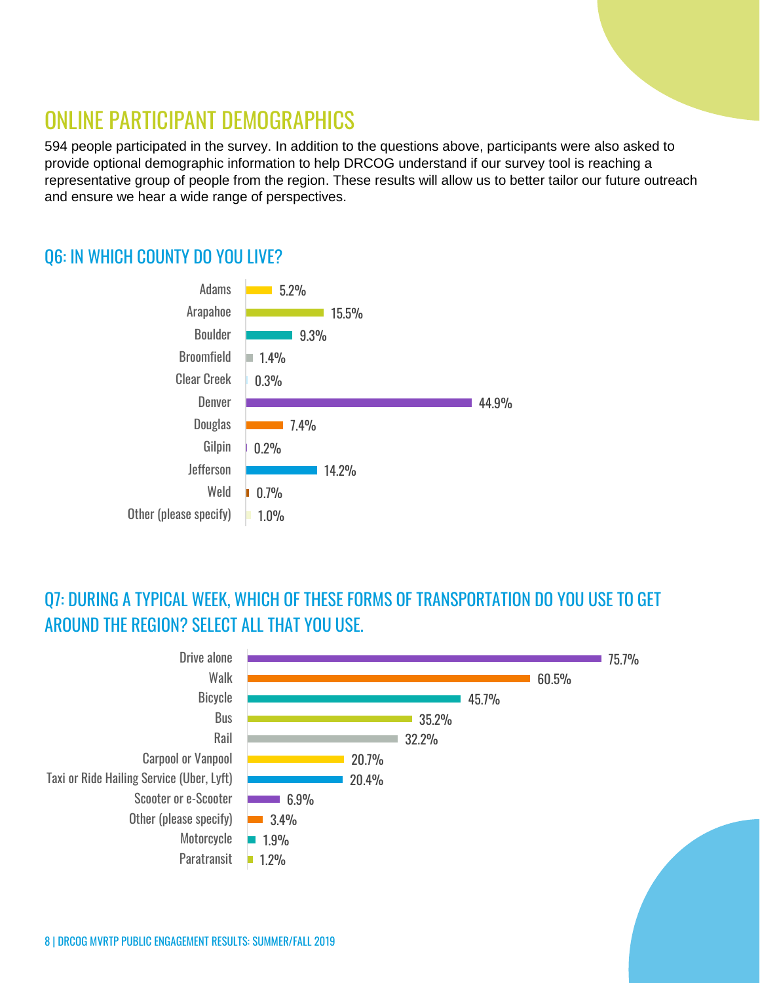## ONLINE PARTICIPANT DEMOGRAPHICS

594 people participated in the survey. In addition to the questions above, participants were also asked to provide optional demographic information to help DRCOG understand if our survey tool is reaching a representative group of people from the region. These results will allow us to better tailor our future outreach and ensure we hear a wide range of perspectives.

### Q6: IN WHICH COUNTY DO YOU LIVE?



### Q7: DURING A TYPICAL WEEK, WHICH OF THESE FORMS OF TRANSPORTATION DO YOU USE TO GET AROUND THE REGION? SELECT ALL THAT YOU USE.

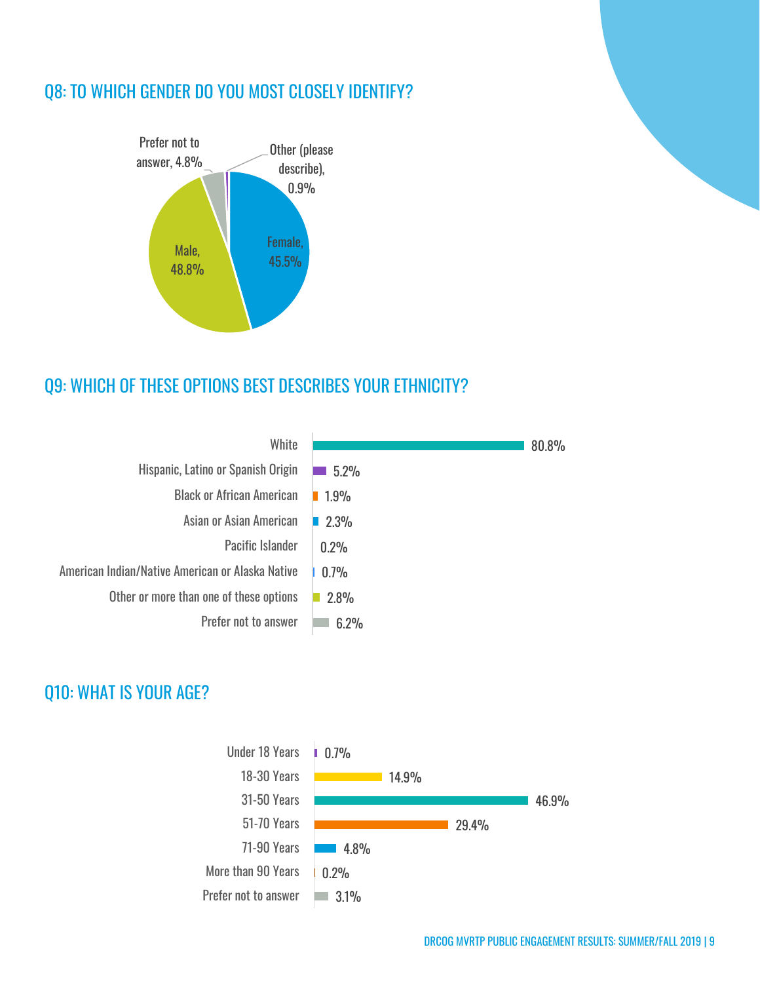### Q8: TO WHICH GENDER DO YOU MOST CLOSELY IDENTIFY?



### Q9: WHICH OF THESE OPTIONS BEST DESCRIBES YOUR ETHNICITY?

| White                                            |      | 80.8% |
|--------------------------------------------------|------|-------|
| Hispanic, Latino or Spanish Origin               | 5.2% |       |
| <b>Black or African American</b>                 | 1.9% |       |
| Asian or Asian American                          | 2.3% |       |
| <b>Pacific Islander</b>                          | 0.2% |       |
| American Indian/Native American or Alaska Native | 0.7% |       |
| Other or more than one of these options          | 2.8% |       |
| Prefer not to answer                             | 6.2% |       |

### Q10: WHAT IS YOUR AGE?

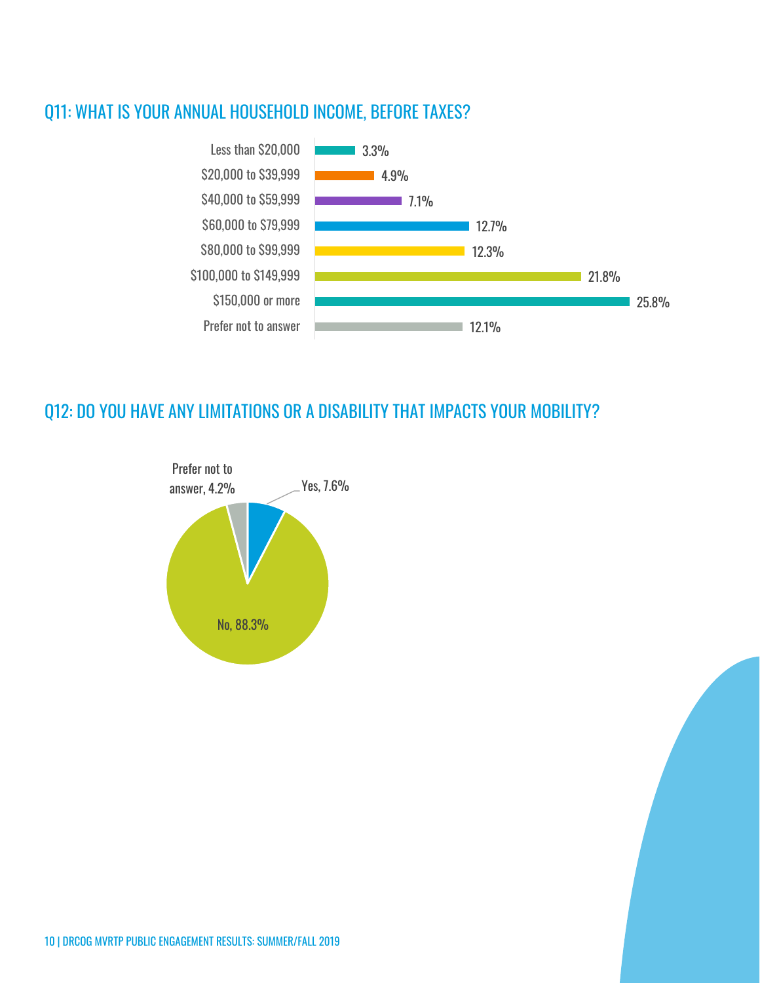### Q11: WHAT IS YOUR ANNUAL HOUSEHOLD INCOME, BEFORE TAXES?



### Q12: DO YOU HAVE ANY LIMITATIONS OR A DISABILITY THAT IMPACTS YOUR MOBILITY?



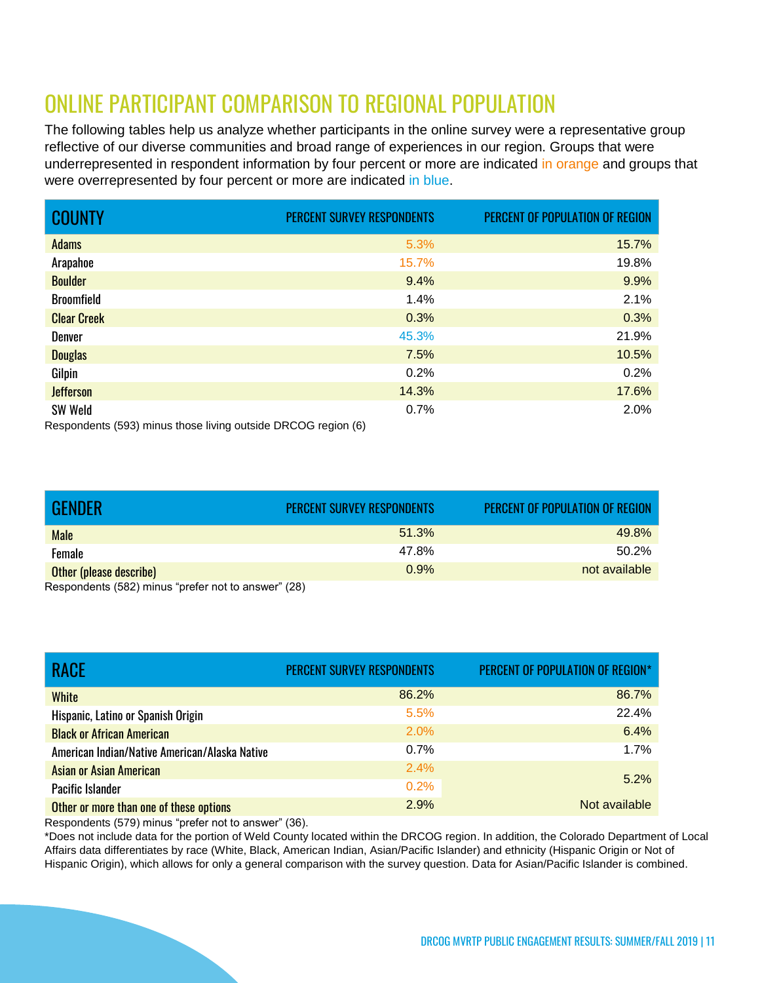# ONLINE PARTICIPANT COMPARISON TO REGIONAL POPULATION

The following tables help us analyze whether participants in the online survey were a representative group reflective of our diverse communities and broad range of experiences in our region. Groups that were underrepresented in respondent information by four percent or more are indicated in orange and groups that were overrepresented by four percent or more are indicated in blue.

| <b>COUNTY</b>                                                                   | PERCENT SURVEY RESPONDENTS | PERCENT OF POPULATION OF REGION |
|---------------------------------------------------------------------------------|----------------------------|---------------------------------|
| <b>Adams</b>                                                                    | 5.3%                       | 15.7%                           |
| Arapahoe                                                                        | 15.7%                      | 19.8%                           |
| <b>Boulder</b>                                                                  | 9.4%                       | 9.9%                            |
| <b>Broomfield</b>                                                               | 1.4%                       | 2.1%                            |
| <b>Clear Creek</b>                                                              | 0.3%                       | 0.3%                            |
| Denver                                                                          | 45.3%                      | 21.9%                           |
| <b>Douglas</b>                                                                  | 7.5%                       | 10.5%                           |
| Gilpin                                                                          | 0.2%                       | 0.2%                            |
| <b>Jefferson</b>                                                                | 14.3%                      | 17.6%                           |
| <b>SW Weld</b><br>Respondents (593) minus those living outside DRCOG region (6) | 0.7%                       | 2.0%                            |

| <b>GENDER</b>                                                                      | PERCENT SURVEY RESPONDENTS | <b>PERCENT OF POPULATION OF REGION</b> |
|------------------------------------------------------------------------------------|----------------------------|----------------------------------------|
| <b>Male</b>                                                                        | 51.3%                      | 49.8%                                  |
| Female                                                                             | 47.8%                      | 50.2%                                  |
| <b>Other (please describe)</b>                                                     | 0.9%                       | not available                          |
| $D_{\text{max}}$ and $L_{\text{max}}$ (FOO) actions for the state section $B$ (OO) |                            |                                        |

Respondents (582) minus "prefer not to answer" (28)

| <b>RACE</b>                                   | PERCENT SURVEY RESPONDENTS | PERCENT OF POPULATION OF REGION* |
|-----------------------------------------------|----------------------------|----------------------------------|
| <b>White</b>                                  | 86.2%                      | 86.7%                            |
| Hispanic, Latino or Spanish Origin            | 5.5%                       | 22.4%                            |
| <b>Black or African American</b>              | 2.0%                       | 6.4%                             |
| American Indian/Native American/Alaska Native | $0.7\%$                    | 1.7%                             |
| <b>Asian or Asian American</b>                | 2.4%                       | 5.2%                             |
| Pacific Islander                              | 0.2%                       |                                  |
| Other or more than one of these options       | 2.9%                       | Not available                    |

Respondents (579) minus "prefer not to answer" (36).

\*Does not include data for the portion of Weld County located within the DRCOG region. In addition, the Colorado Department of Local Affairs data differentiates by race (White, Black, American Indian, Asian/Pacific Islander) and ethnicity (Hispanic Origin or Not of Hispanic Origin), which allows for only a general comparison with the survey question. Data for Asian/Pacific Islander is combined.